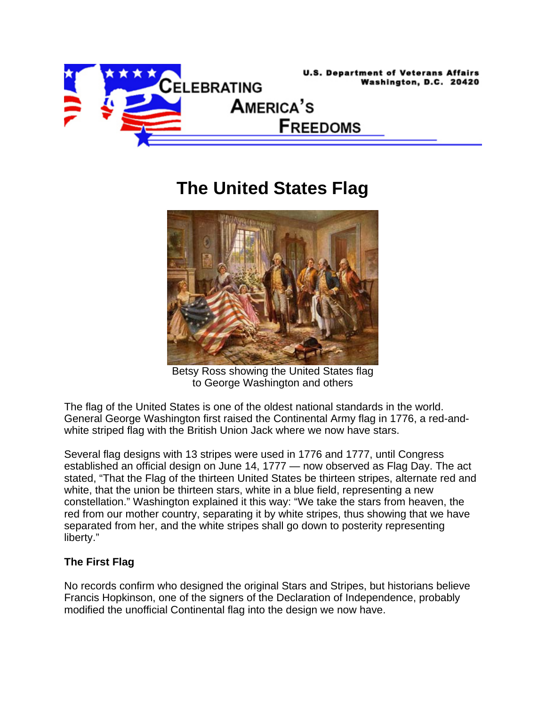

## **The United States Flag**



Betsy Ross showing the United States flag to George Washington and others

The flag of the United States is one of the oldest national standards in the world. General George Washington first raised the Continental Army flag in 1776, a red-andwhite striped flag with the British Union Jack where we now have stars.

Several flag designs with 13 stripes were used in 1776 and 1777, until Congress established an official design on June 14, 1777 — now observed as Flag Day. The act stated, "That the Flag of the thirteen United States be thirteen stripes, alternate red and white, that the union be thirteen stars, white in a blue field, representing a new constellation." Washington explained it this way: "We take the stars from heaven, the red from our mother country, separating it by white stripes, thus showing that we have separated from her, and the white stripes shall go down to posterity representing liberty."

## **The First Flag**

No records confirm who designed the original Stars and Stripes, but historians believe Francis Hopkinson, one of the signers of the Declaration of Independence, probably modified the unofficial Continental flag into the design we now have.